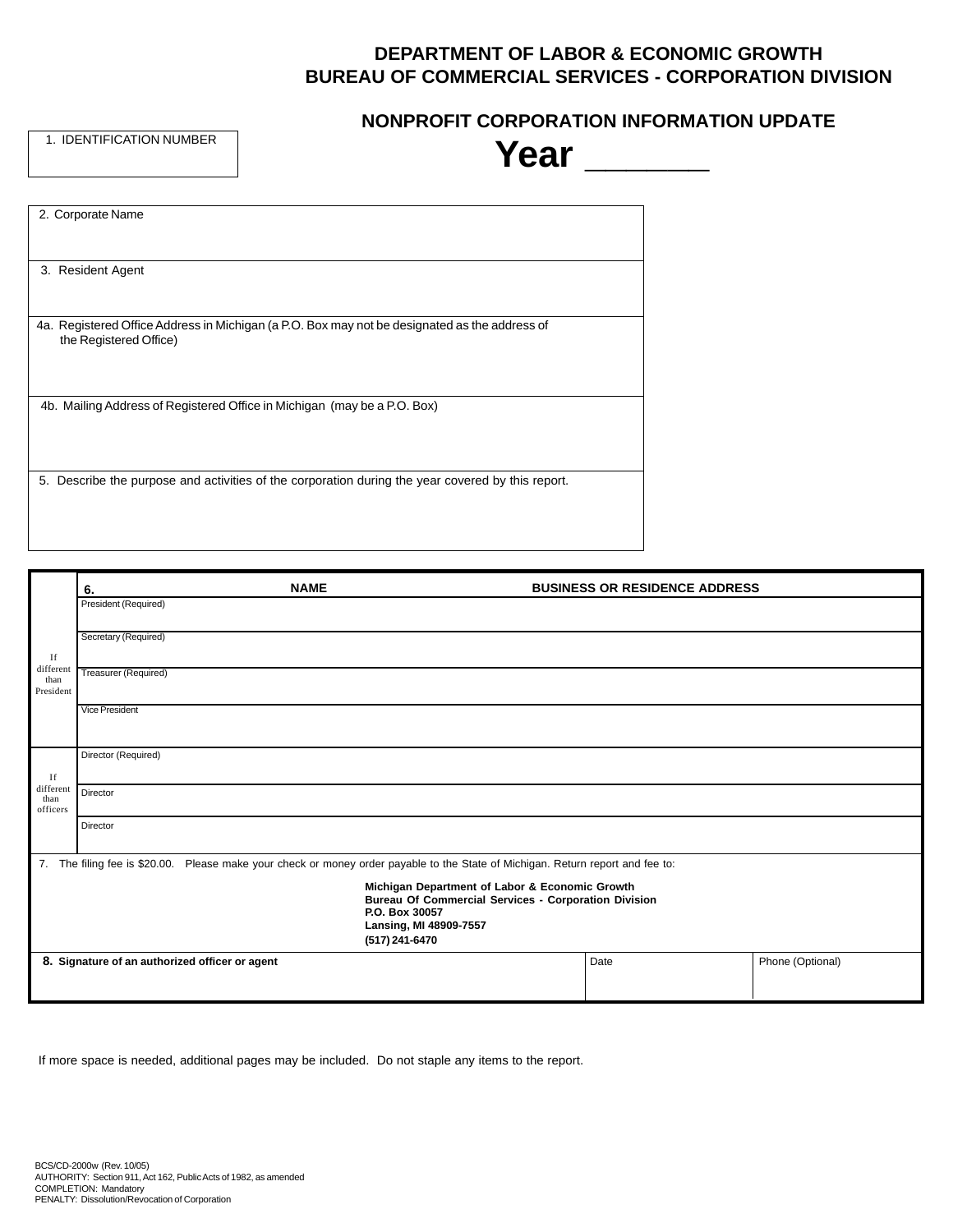# **DEPARTMENT OF LABOR & ECONOMIC GROWTH BUREAU OF COMMERCIAL SERVICES - CORPORATION DIVISION**

1. IDENTIFICATION NUMBER

## **NONPROFIT CORPORATION INFORMATION UPDATE**

| 1. IDENTIFICATION NUMBER | Year                                                                                          |  |
|--------------------------|-----------------------------------------------------------------------------------------------|--|
|                          |                                                                                               |  |
| 2. Corporate Name        |                                                                                               |  |
| 3. Resident Agent        |                                                                                               |  |
| the Registered Office)   | 4a. Registered Office Address in Michigan (a P.O. Box may not be designated as the address of |  |
|                          | 4b. Mailing Address of Registered Office in Michigan (may be a P.O. Box)                      |  |

5. Describe the purpose and activities of the corporation during the year covered by this report.

|                                                                                                                                                                             | <b>NAME</b><br>6.                                                                                                            | <b>BUSINESS OR RESIDENCE ADDRESS</b> |                  |  |
|-----------------------------------------------------------------------------------------------------------------------------------------------------------------------------|------------------------------------------------------------------------------------------------------------------------------|--------------------------------------|------------------|--|
|                                                                                                                                                                             | President (Required)                                                                                                         |                                      |                  |  |
| If                                                                                                                                                                          | Secretary (Required)                                                                                                         |                                      |                  |  |
| different<br>than<br>President                                                                                                                                              | Treasurer (Required)                                                                                                         |                                      |                  |  |
|                                                                                                                                                                             | Vice President                                                                                                               |                                      |                  |  |
| If                                                                                                                                                                          | Director (Required)                                                                                                          |                                      |                  |  |
| different<br>than<br>officers                                                                                                                                               | Director                                                                                                                     |                                      |                  |  |
|                                                                                                                                                                             | Director                                                                                                                     |                                      |                  |  |
| 7.                                                                                                                                                                          | The filing fee is \$20.00. Please make your check or money order payable to the State of Michigan. Return report and fee to: |                                      |                  |  |
| Michigan Department of Labor & Economic Growth<br><b>Bureau Of Commercial Services - Corporation Division</b><br>P.O. Box 30057<br>Lansing, MI 48909-7557<br>(517) 241-6470 |                                                                                                                              |                                      |                  |  |
|                                                                                                                                                                             | 8. Signature of an authorized officer or agent                                                                               | Date                                 | Phone (Optional) |  |

If more space is needed, additional pages may be included. Do not staple any items to the report.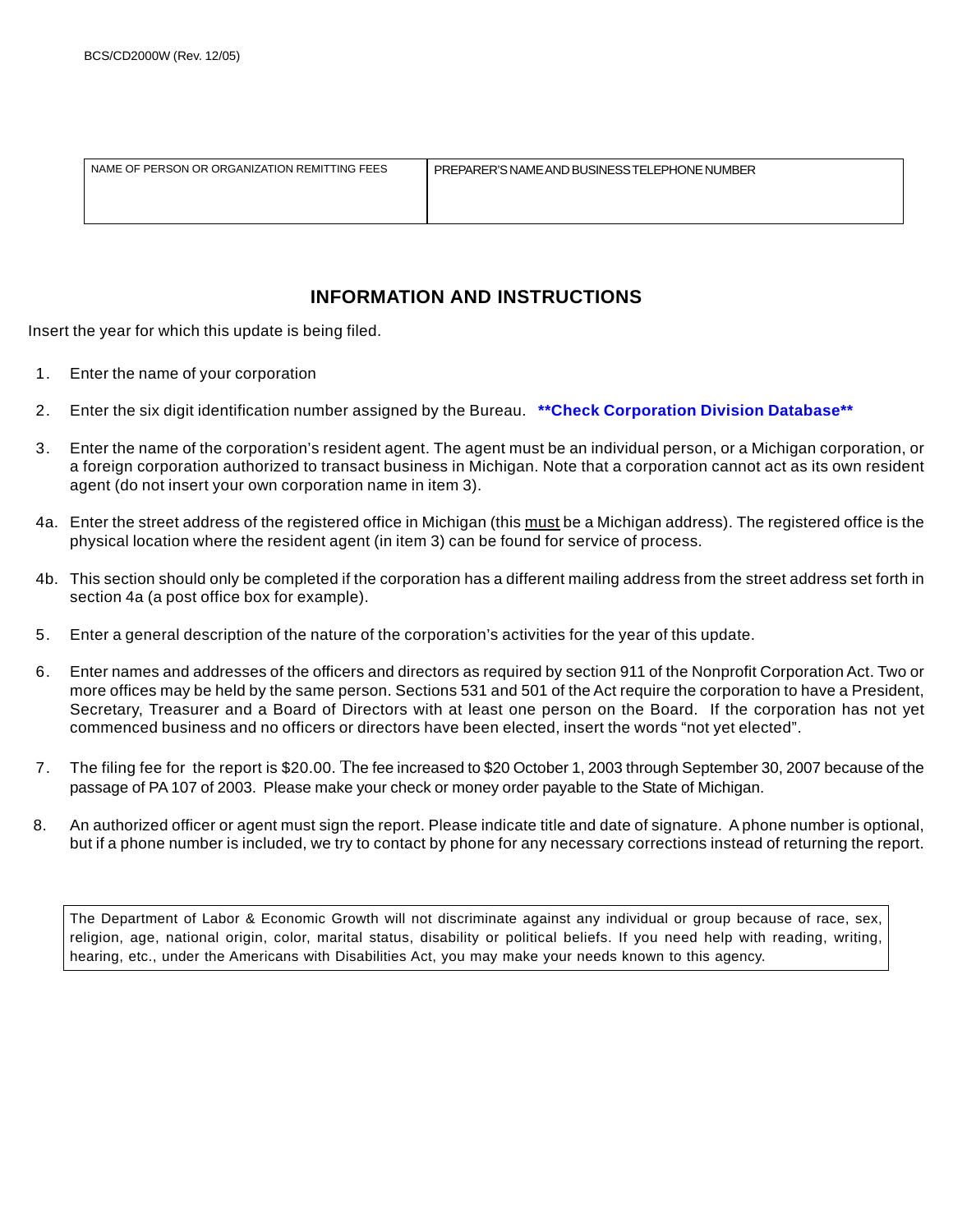| NAME OF PERSON OR ORGANIZATION REMITTING FEES | PREPARER'S NAME AND BUSINESS TELEPHONE NUMBER |
|-----------------------------------------------|-----------------------------------------------|
|                                               |                                               |
|                                               |                                               |

## **INFORMATION AND INSTRUCTIONS**

Insert the year for which this update is being filed.

- 1. Enter the name of your corporation
- 2. Enter the six digit identification number assigned by the Bureau. **\*\*Check Corporation Division Database\*\***
- 3. Enter the name of the corporation's resident agent. The agent must be an individual person, or a Michigan corporation, or a foreign corporation authorized to transact business in Michigan. Note that a corporation cannot act as its own resident agent (do not insert your own corporation name in item 3).
- 4a. Enter the street address of the registered office in Michigan (this must be a Michigan address). The registered office is the physical location where the resident agent (in item 3) can be found for service of process.
- 4b. This section should only be completed if the corporation has a different mailing address from the street address set forth in section 4a (a post office box for example).
- 5. Enter a general description of the nature of the corporation's activities for the year of this update.
- 6. Enter names and addresses of the officers and directors as required by section 911 of the Nonprofit Corporation Act. Two or more offices may be held by the same person. Sections 531 and 501 of the Act require the corporation to have a President, Secretary, Treasurer and a Board of Directors with at least one person on the Board. If the corporation has not yet commenced business and no officers or directors have been elected, insert the words "not yet elected".
- 7. The filing fee for the report is \$20.00. The fee increased to \$20 October 1, 2003 through September 30, 2007 because of the passage of PA 107 of 2003. Please make your check or money order payable to the State of Michigan.
- 8. An authorized officer or agent must sign the report. Please indicate title and date of signature. A phone number is optional, but if a phone number is included, we try to contact by phone for any necessary corrections instead of returning the report.

The Department of Labor & Economic Growth will not discriminate against any individual or group because of race, sex, religion, age, national origin, color, marital status, disability or political beliefs. If you need help with reading, writing, hearing, etc., under the Americans with Disabilities Act, you may make your needs known to this agency.